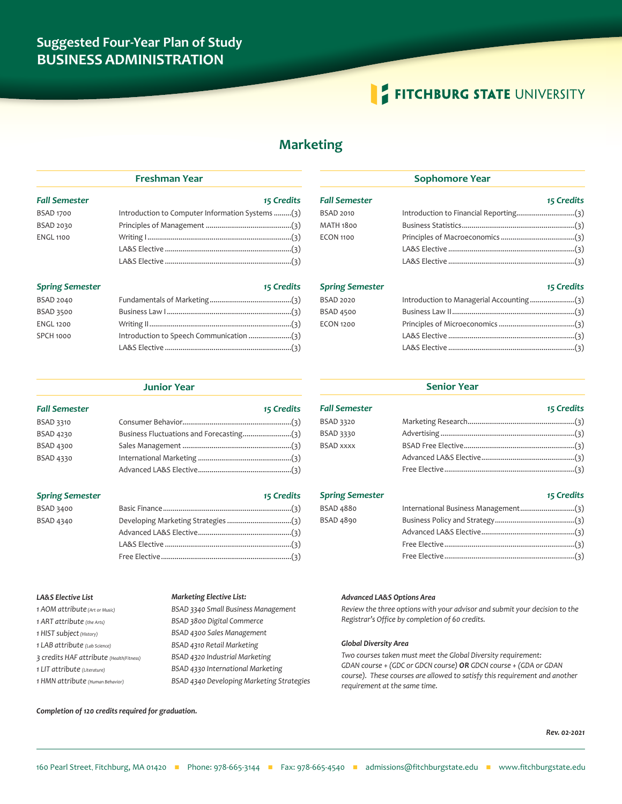# **Suggested Four-Year Plan of Study BUSINESS ADMINISTRATION**

# **FITCHBURG STATE UNIVERSITY**

# **Marketing**

### *Fall Semester 15 Credits*

| <b>BSAD 1700</b> | Introduction to Computer Information Systems (3) |  |
|------------------|--------------------------------------------------|--|
| BSAD 2030        |                                                  |  |
| <b>ENGL 1100</b> |                                                  |  |
|                  |                                                  |  |
|                  |                                                  |  |

**Freshman Year**

### **Spring Semester 15 Credits** 15 Credits

| <b>BSAD 2040</b> |  |
|------------------|--|
| BSAD 3500        |  |
| <b>ENGL 1200</b> |  |
| <b>SPCH 1000</b> |  |
|                  |  |

#### **Junior Year**

| <b>Fall Semester</b> | 15 Credits |
|----------------------|------------|
| <b>BSAD 3310</b>     |            |
| <b>BSAD 4230</b>     |            |
| <b>BSAD 4300</b>     |            |
| <b>BSAD 4330</b>     |            |
|                      |            |

## **Spring Semester 15 Credits** 15 Credits

| BSAD 3400        |  |
|------------------|--|
| <b>BSAD 4340</b> |  |
|                  |  |
|                  |  |
|                  |  |

#### *LA&S Elective List*

*1 AOM attribute (Art or Music) 1 ART attribute (the Arts) 1 HIST subject (History) 1 LAB attribute (Lab Science) 3 credits HAF attribute (Health/Fitness) 1 LIT attribute (Literature) 1 HMN attribute (Human Behavior)*

#### *Marketing Elective List:*

| BSAD 3340 Small Business Management       |
|-------------------------------------------|
| BSAD 3800 Digital Commerce                |
| BSAD 4300 Sales Management                |
| BSAD 4310 Retail Marketing                |
| BSAD 4320 Industrial Marketing            |
| BSAD 4330 International Marketing         |
| BSAD 4340 Developing Marketing Strategies |

# **Sophomore Year**

| <b>Fall Semester</b> | 15 Credits |
|----------------------|------------|
| <b>BSAD 2010</b>     |            |
| <b>MATH 1800</b>     |            |
| <b>ECON 1100</b>     |            |
|                      |            |
|                      |            |

## *Spring Semester 15 Credits*

## BSAD 2020 Introduction to Managerial Accounting ........................(3) BSAD 4500 Business Law II...............................................................(3) ECON 1200 Principles of Microeconomics .......................................(3) LA&S Elective .................................................................(3) LA&S Elective .................................................................(3)

### **Senior Year**

## *Fall Semester 15 Credits* BSAD 3320 Marketing Research.......................................................(3) BSAD 3330 Advertising .....................................................................(3) BSAD xxxx BSAD Free Elective.........................................................(3) Advanced LA&S Elective................................................(3) Free Elective...................................................................(3)

### **Spring Semester 15 Credits** 15 Credits

# BSAD 4880 International Business Management...........................(3) BSAD 4890 Business Policy and Strategy.........................................(3) Advanced LA&S Elective................................................(3) Free Elective...................................................................(3) Free Elective...................................................................(3)

#### *Advanced LA&S Options Area*

*Review the three options with your advisor and submit your decision to the Registrar's Office by completion of 60 credits.*

#### *Global Diversity Area*

*Two courses taken must meet the Global Diversity requirement: GDAN course + (GDC or GDCN course) OR GDCN course + (GDA or GDAN course). These courses are allowed to satisfy this requirement and another requirement at the same time.*

#### *Completion of 120 credits required for graduation.*

*Rev. 02-2021*